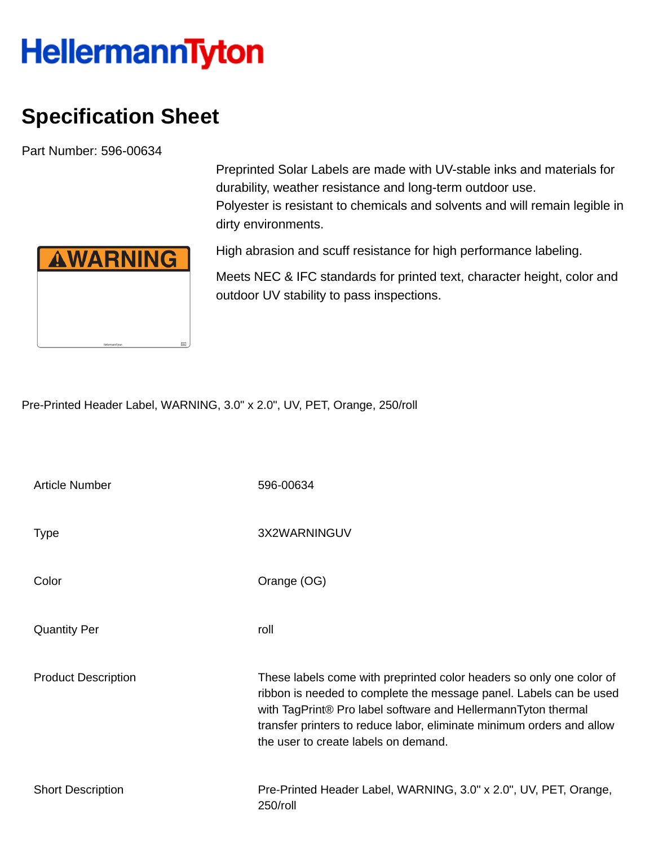## **HellermannTyton**

## **Specification Sheet**

Part Number: 596-00634

Polyester is resistant to chemicals and solvents and will remain legible in dirty environments. High abrasion and scuff resistance for high performance labeling. **AWARNING** Meets NEC & IFC standards for printed text, character height, color and outdoor UV stability to pass inspections.

Preprinted Solar Labels are made with UV-stable inks and materials for

durability, weather resistance and long-term outdoor use.

Pre-Printed Header Label, WARNING, 3.0" x 2.0", UV, PET, Orange, 250/roll

| <b>Article Number</b>      | 596-00634                                                                                                                                                                                                                                                                                                                    |
|----------------------------|------------------------------------------------------------------------------------------------------------------------------------------------------------------------------------------------------------------------------------------------------------------------------------------------------------------------------|
| <b>Type</b>                | 3X2WARNINGUV                                                                                                                                                                                                                                                                                                                 |
| Color                      | Orange (OG)                                                                                                                                                                                                                                                                                                                  |
| <b>Quantity Per</b>        | roll                                                                                                                                                                                                                                                                                                                         |
| <b>Product Description</b> | These labels come with preprinted color headers so only one color of<br>ribbon is needed to complete the message panel. Labels can be used<br>with TagPrint® Pro label software and HellermannTyton thermal<br>transfer printers to reduce labor, eliminate minimum orders and allow<br>the user to create labels on demand. |
| <b>Short Description</b>   | Pre-Printed Header Label, WARNING, 3.0" x 2.0", UV, PET, Orange,<br>250/roll                                                                                                                                                                                                                                                 |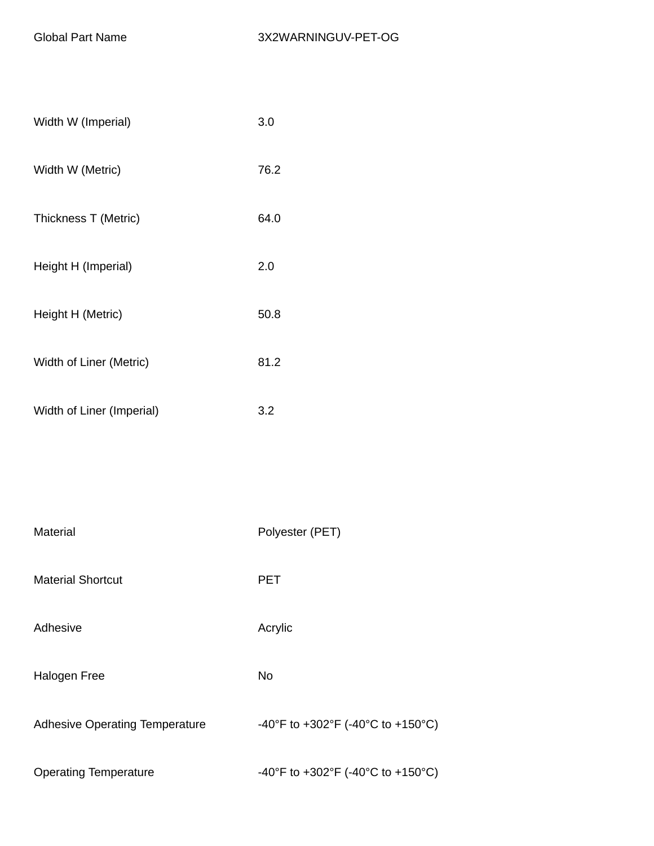| Width W (Imperial)                    | 3.0                               |
|---------------------------------------|-----------------------------------|
| Width W (Metric)                      | 76.2                              |
| Thickness T (Metric)                  | 64.0                              |
| Height H (Imperial)                   | 2.0                               |
| Height H (Metric)                     | 50.8                              |
| Width of Liner (Metric)               | 81.2                              |
| Width of Liner (Imperial)             | 3.2                               |
|                                       |                                   |
|                                       |                                   |
| Material                              | Polyester (PET)                   |
| <b>Material Shortcut</b>              | <b>PET</b>                        |
| Adhesive                              | Acrylic                           |
| Halogen Free                          | <b>No</b>                         |
| <b>Adhesive Operating Temperature</b> | -40°F to +302°F (-40°C to +150°C) |
| <b>Operating Temperature</b>          | -40°F to +302°F (-40°C to +150°C) |